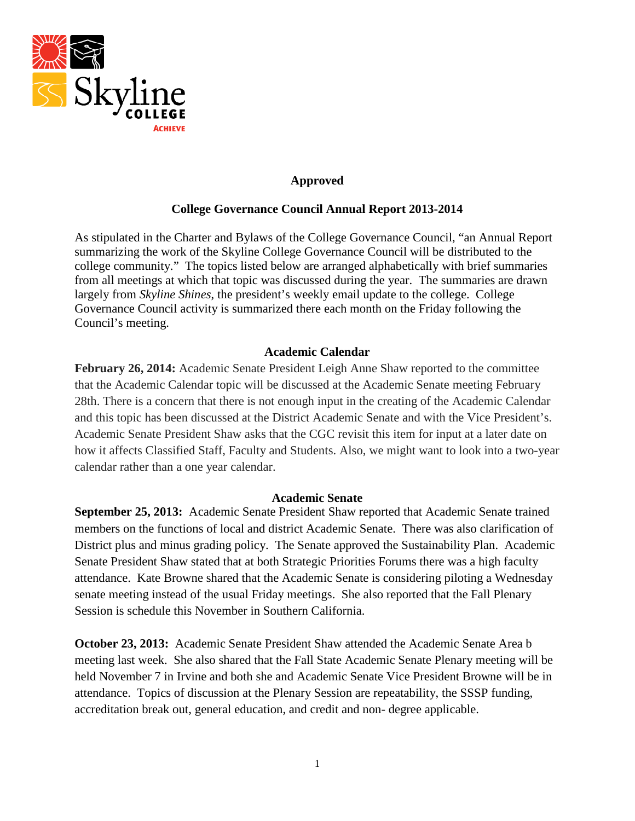

### **Approved**

#### **College Governance Council Annual Report 2013-2014**

As stipulated in the Charter and Bylaws of the College Governance Council, "an Annual Report summarizing the work of the Skyline College Governance Council will be distributed to the college community." The topics listed below are arranged alphabetically with brief summaries from all meetings at which that topic was discussed during the year. The summaries are drawn largely from *Skyline Shines*, the president's weekly email update to the college. College Governance Council activity is summarized there each month on the Friday following the Council's meeting.

#### **Academic Calendar**

**February 26, 2014:** Academic Senate President Leigh Anne Shaw reported to the committee that the Academic Calendar topic will be discussed at the Academic Senate meeting February 28th. There is a concern that there is not enough input in the creating of the Academic Calendar and this topic has been discussed at the District Academic Senate and with the Vice President's. Academic Senate President Shaw asks that the CGC revisit this item for input at a later date on how it affects Classified Staff, Faculty and Students. Also, we might want to look into a two-year calendar rather than a one year calendar.

#### **Academic Senate**

**September 25, 2013:** Academic Senate President Shaw reported that Academic Senate trained members on the functions of local and district Academic Senate. There was also clarification of District plus and minus grading policy. The Senate approved the Sustainability Plan. Academic Senate President Shaw stated that at both Strategic Priorities Forums there was a high faculty attendance. Kate Browne shared that the Academic Senate is considering piloting a Wednesday senate meeting instead of the usual Friday meetings. She also reported that the Fall Plenary Session is schedule this November in Southern California.

**October 23, 2013:** Academic Senate President Shaw attended the Academic Senate Area b meeting last week. She also shared that the Fall State Academic Senate Plenary meeting will be held November 7 in Irvine and both she and Academic Senate Vice President Browne will be in attendance. Topics of discussion at the Plenary Session are repeatability, the SSSP funding, accreditation break out, general education, and credit and non- degree applicable.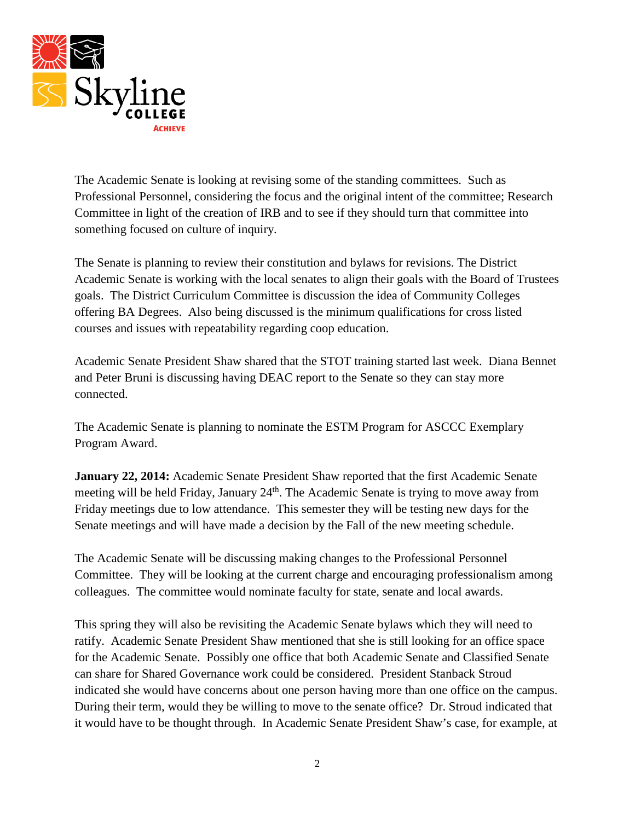

The Academic Senate is looking at revising some of the standing committees. Such as Professional Personnel, considering the focus and the original intent of the committee; Research Committee in light of the creation of IRB and to see if they should turn that committee into something focused on culture of inquiry.

The Senate is planning to review their constitution and bylaws for revisions. The District Academic Senate is working with the local senates to align their goals with the Board of Trustees goals. The District Curriculum Committee is discussion the idea of Community Colleges offering BA Degrees. Also being discussed is the minimum qualifications for cross listed courses and issues with repeatability regarding coop education.

Academic Senate President Shaw shared that the STOT training started last week. Diana Bennet and Peter Bruni is discussing having DEAC report to the Senate so they can stay more connected.

The Academic Senate is planning to nominate the ESTM Program for ASCCC Exemplary Program Award.

**January 22, 2014:** Academic Senate President Shaw reported that the first Academic Senate meeting will be held Friday, January 24<sup>th</sup>. The Academic Senate is trying to move away from Friday meetings due to low attendance. This semester they will be testing new days for the Senate meetings and will have made a decision by the Fall of the new meeting schedule.

The Academic Senate will be discussing making changes to the Professional Personnel Committee. They will be looking at the current charge and encouraging professionalism among colleagues. The committee would nominate faculty for state, senate and local awards.

This spring they will also be revisiting the Academic Senate bylaws which they will need to ratify. Academic Senate President Shaw mentioned that she is still looking for an office space for the Academic Senate. Possibly one office that both Academic Senate and Classified Senate can share for Shared Governance work could be considered. President Stanback Stroud indicated she would have concerns about one person having more than one office on the campus. During their term, would they be willing to move to the senate office? Dr. Stroud indicated that it would have to be thought through. In Academic Senate President Shaw's case, for example, at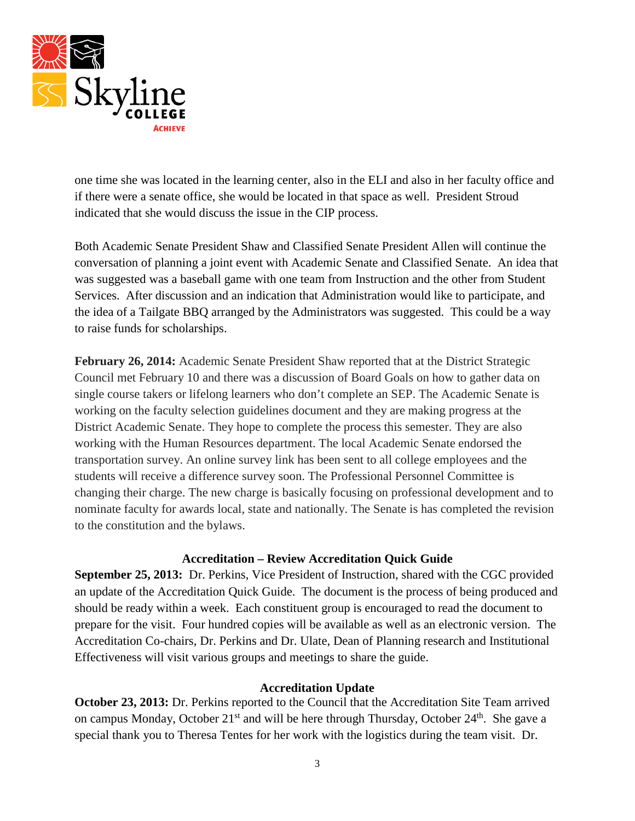

one time she was located in the learning center, also in the ELI and also in her faculty office and if there were a senate office, she would be located in that space as well. President Stroud indicated that she would discuss the issue in the CIP process.

Both Academic Senate President Shaw and Classified Senate President Allen will continue the conversation of planning a joint event with Academic Senate and Classified Senate. An idea that was suggested was a baseball game with one team from Instruction and the other from Student Services. After discussion and an indication that Administration would like to participate, and the idea of a Tailgate BBQ arranged by the Administrators was suggested. This could be a way to raise funds for scholarships.

**February 26, 2014:** Academic Senate President Shaw reported that at the District Strategic Council met February 10 and there was a discussion of Board Goals on how to gather data on single course takers or lifelong learners who don't complete an SEP. The Academic Senate is working on the faculty selection guidelines document and they are making progress at the District Academic Senate. They hope to complete the process this semester. They are also working with the Human Resources department. The local Academic Senate endorsed the transportation survey. An online survey link has been sent to all college employees and the students will receive a difference survey soon. The Professional Personnel Committee is changing their charge. The new charge is basically focusing on professional development and to nominate faculty for awards local, state and nationally. The Senate is has completed the revision to the constitution and the bylaws.

#### **Accreditation – Review Accreditation Quick Guide**

**September 25, 2013:** Dr. Perkins, Vice President of Instruction, shared with the CGC provided an update of the Accreditation Quick Guide. The document is the process of being produced and should be ready within a week. Each constituent group is encouraged to read the document to prepare for the visit. Four hundred copies will be available as well as an electronic version. The Accreditation Co-chairs, Dr. Perkins and Dr. Ulate, Dean of Planning research and Institutional Effectiveness will visit various groups and meetings to share the guide.

#### **Accreditation Update**

**October 23, 2013:** Dr. Perkins reported to the Council that the Accreditation Site Team arrived on campus Monday, October 21<sup>st</sup> and will be here through Thursday, October 24<sup>th</sup>. She gave a special thank you to Theresa Tentes for her work with the logistics during the team visit. Dr.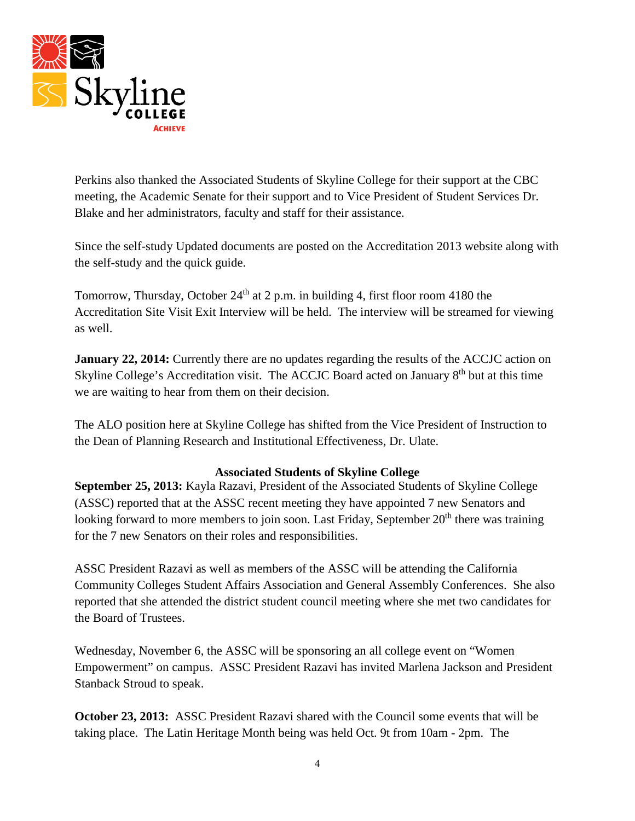

Perkins also thanked the Associated Students of Skyline College for their support at the CBC meeting, the Academic Senate for their support and to Vice President of Student Services Dr. Blake and her administrators, faculty and staff for their assistance.

Since the self-study Updated documents are posted on the Accreditation 2013 website along with the self-study and the quick guide.

Tomorrow, Thursday, October  $24<sup>th</sup>$  at 2 p.m. in building 4, first floor room 4180 the Accreditation Site Visit Exit Interview will be held. The interview will be streamed for viewing as well.

**January 22, 2014:** Currently there are no updates regarding the results of the ACCJC action on Skyline College's Accreditation visit. The ACCJC Board acted on January  $8<sup>th</sup>$  but at this time we are waiting to hear from them on their decision.

The ALO position here at Skyline College has shifted from the Vice President of Instruction to the Dean of Planning Research and Institutional Effectiveness, Dr. Ulate.

# **Associated Students of Skyline College**

**September 25, 2013:** Kayla Razavi, President of the Associated Students of Skyline College (ASSC) reported that at the ASSC recent meeting they have appointed 7 new Senators and looking forward to more members to join soon. Last Friday, September  $20<sup>th</sup>$  there was training for the 7 new Senators on their roles and responsibilities.

ASSC President Razavi as well as members of the ASSC will be attending the California Community Colleges Student Affairs Association and General Assembly Conferences. She also reported that she attended the district student council meeting where she met two candidates for the Board of Trustees.

Wednesday, November 6, the ASSC will be sponsoring an all college event on "Women Empowerment" on campus. ASSC President Razavi has invited Marlena Jackson and President Stanback Stroud to speak.

**October 23, 2013:** ASSC President Razavi shared with the Council some events that will be taking place. The Latin Heritage Month being was held Oct. 9t from 10am - 2pm. The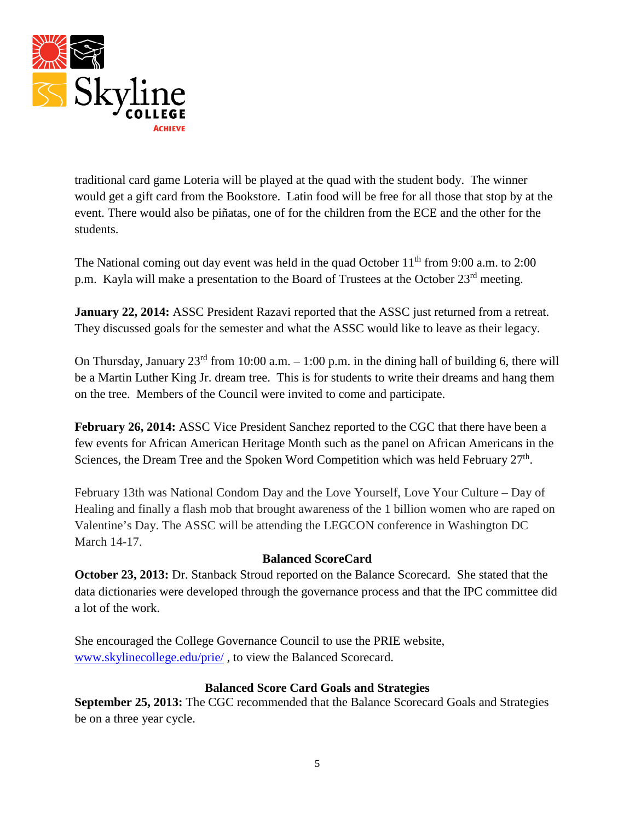

traditional card game Loteria will be played at the quad with the student body. The winner would get a gift card from the Bookstore. Latin food will be free for all those that stop by at the event. There would also be piñatas, one of for the children from the ECE and the other for the students.

The National coming out day event was held in the quad October  $11<sup>th</sup>$  from 9:00 a.m. to 2:00 p.m. Kayla will make a presentation to the Board of Trustees at the October 23<sup>rd</sup> meeting.

**January 22, 2014:** ASSC President Razavi reported that the ASSC just returned from a retreat. They discussed goals for the semester and what the ASSC would like to leave as their legacy.

On Thursday, January  $23^{\text{rd}}$  from 10:00 a.m.  $-1:00$  p.m. in the dining hall of building 6, there will be a Martin Luther King Jr. dream tree. This is for students to write their dreams and hang them on the tree. Members of the Council were invited to come and participate.

**February 26, 2014:** ASSC Vice President Sanchez reported to the CGC that there have been a few events for African American Heritage Month such as the panel on African Americans in the Sciences, the Dream Tree and the Spoken Word Competition which was held February 27<sup>th</sup>.

February 13th was National Condom Day and the Love Yourself, Love Your Culture – Day of Healing and finally a flash mob that brought awareness of the 1 billion women who are raped on Valentine's Day. The ASSC will be attending the LEGCON conference in Washington DC March 14-17.

# **Balanced ScoreCard**

**October 23, 2013:** Dr. Stanback Stroud reported on the Balance Scorecard. She stated that the data dictionaries were developed through the governance process and that the IPC committee did a lot of the work.

She encouraged the College Governance Council to use the PRIE website, [www.skylinecollege.edu/prie/](http://www.skylinecollege.edu/prie/) , to view the Balanced Scorecard.

#### **Balanced Score Card Goals and Strategies**

**September 25, 2013:** The CGC recommended that the Balance Scorecard Goals and Strategies be on a three year cycle.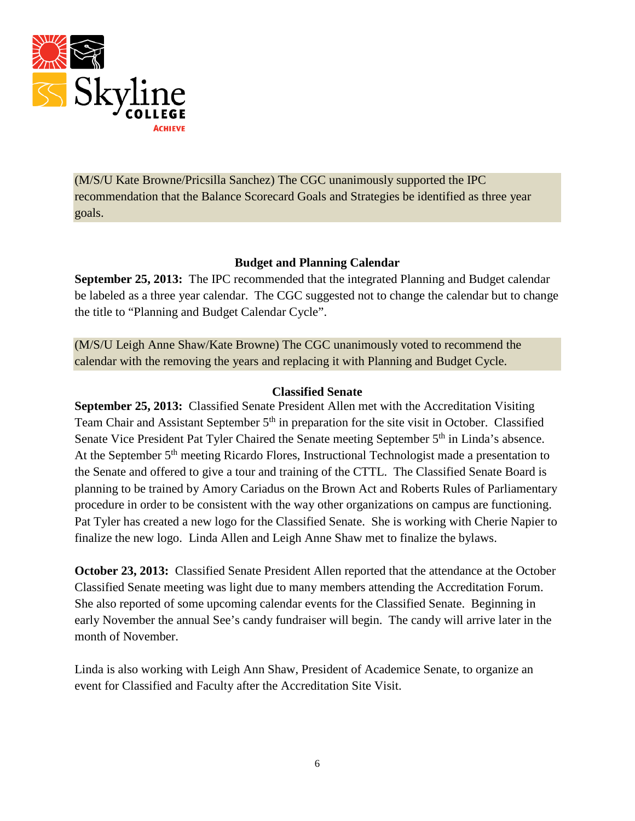

(M/S/U Kate Browne/Pricsilla Sanchez) The CGC unanimously supported the IPC recommendation that the Balance Scorecard Goals and Strategies be identified as three year goals.

# **Budget and Planning Calendar**

**September 25, 2013:** The IPC recommended that the integrated Planning and Budget calendar be labeled as a three year calendar. The CGC suggested not to change the calendar but to change the title to "Planning and Budget Calendar Cycle".

(M/S/U Leigh Anne Shaw/Kate Browne) The CGC unanimously voted to recommend the calendar with the removing the years and replacing it with Planning and Budget Cycle.

#### **Classified Senate**

**September 25, 2013:** Classified Senate President Allen met with the Accreditation Visiting Team Chair and Assistant September 5<sup>th</sup> in preparation for the site visit in October. Classified Senate Vice President Pat Tyler Chaired the Senate meeting September 5<sup>th</sup> in Linda's absence. At the September 5<sup>th</sup> meeting Ricardo Flores, Instructional Technologist made a presentation to the Senate and offered to give a tour and training of the CTTL. The Classified Senate Board is planning to be trained by Amory Cariadus on the Brown Act and Roberts Rules of Parliamentary procedure in order to be consistent with the way other organizations on campus are functioning. Pat Tyler has created a new logo for the Classified Senate. She is working with Cherie Napier to finalize the new logo. Linda Allen and Leigh Anne Shaw met to finalize the bylaws.

**October 23, 2013:** Classified Senate President Allen reported that the attendance at the October Classified Senate meeting was light due to many members attending the Accreditation Forum. She also reported of some upcoming calendar events for the Classified Senate. Beginning in early November the annual See's candy fundraiser will begin. The candy will arrive later in the month of November.

Linda is also working with Leigh Ann Shaw, President of Academice Senate, to organize an event for Classified and Faculty after the Accreditation Site Visit.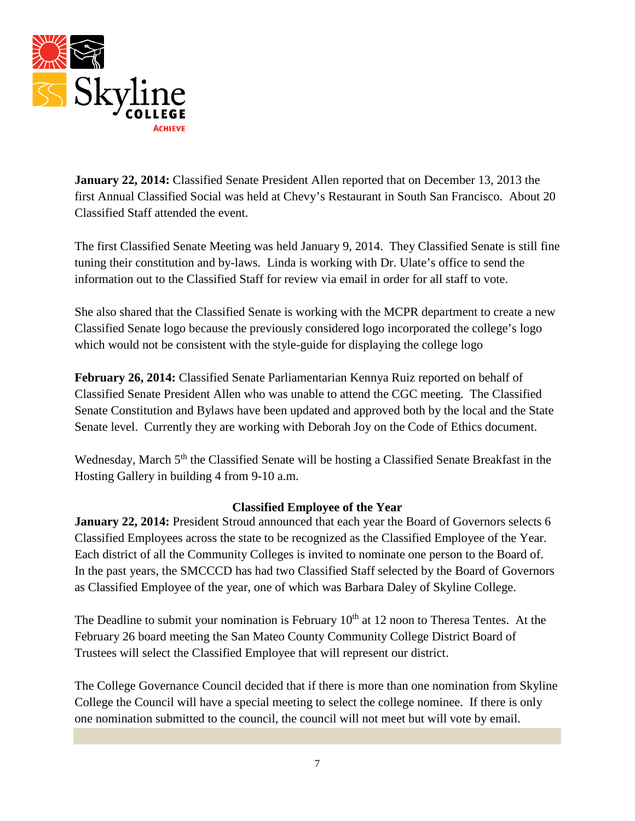

**January 22, 2014:** Classified Senate President Allen reported that on December 13, 2013 the first Annual Classified Social was held at Chevy's Restaurant in South San Francisco. About 20 Classified Staff attended the event.

The first Classified Senate Meeting was held January 9, 2014. They Classified Senate is still fine tuning their constitution and by-laws. Linda is working with Dr. Ulate's office to send the information out to the Classified Staff for review via email in order for all staff to vote.

She also shared that the Classified Senate is working with the MCPR department to create a new Classified Senate logo because the previously considered logo incorporated the college's logo which would not be consistent with the style-guide for displaying the college logo

**February 26, 2014:** Classified Senate Parliamentarian Kennya Ruiz reported on behalf of Classified Senate President Allen who was unable to attend the CGC meeting. The Classified Senate Constitution and Bylaws have been updated and approved both by the local and the State Senate level. Currently they are working with Deborah Joy on the Code of Ethics document.

Wednesday, March 5<sup>th</sup> the Classified Senate will be hosting a Classified Senate Breakfast in the Hosting Gallery in building 4 from 9-10 a.m.

# **Classified Employee of the Year**

January 22, 2014: President Stroud announced that each year the Board of Governors selects 6 Classified Employees across the state to be recognized as the Classified Employee of the Year. Each district of all the Community Colleges is invited to nominate one person to the Board of. In the past years, the SMCCCD has had two Classified Staff selected by the Board of Governors as Classified Employee of the year, one of which was Barbara Daley of Skyline College.

The Deadline to submit your nomination is February  $10<sup>th</sup>$  at 12 noon to Theresa Tentes. At the February 26 board meeting the San Mateo County Community College District Board of Trustees will select the Classified Employee that will represent our district.

The College Governance Council decided that if there is more than one nomination from Skyline College the Council will have a special meeting to select the college nominee. If there is only one nomination submitted to the council, the council will not meet but will vote by email.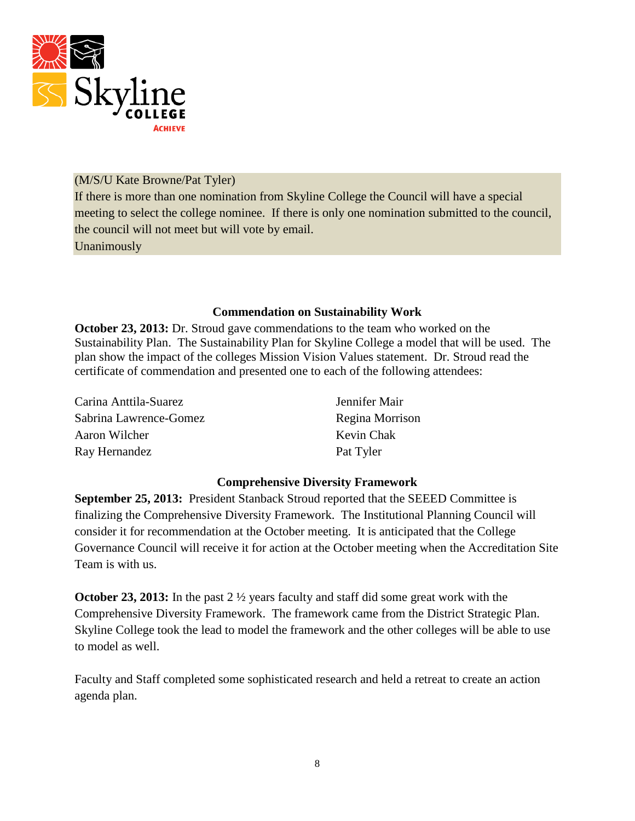

### (M/S/U Kate Browne/Pat Tyler)

If there is more than one nomination from Skyline College the Council will have a special meeting to select the college nominee. If there is only one nomination submitted to the council, the council will not meet but will vote by email.

Unanimously

### **Commendation on Sustainability Work**

**October 23, 2013:** Dr. Stroud gave commendations to the team who worked on the Sustainability Plan. The Sustainability Plan for Skyline College a model that will be used. The plan show the impact of the colleges Mission Vision Values statement. Dr. Stroud read the certificate of commendation and presented one to each of the following attendees:

| Carina Anttila-Suarez  | Jennifer Mair   |
|------------------------|-----------------|
| Sabrina Lawrence-Gomez | Regina Morrison |
| Aaron Wilcher          | Kevin Chak      |
| Ray Hernandez          | Pat Tyler       |

# **Comprehensive Diversity Framework**

**September 25, 2013:** President Stanback Stroud reported that the SEEED Committee is finalizing the Comprehensive Diversity Framework. The Institutional Planning Council will consider it for recommendation at the October meeting. It is anticipated that the College Governance Council will receive it for action at the October meeting when the Accreditation Site Team is with us.

**October 23, 2013:** In the past 2  $\frac{1}{2}$  years faculty and staff did some great work with the Comprehensive Diversity Framework. The framework came from the District Strategic Plan. Skyline College took the lead to model the framework and the other colleges will be able to use to model as well.

Faculty and Staff completed some sophisticated research and held a retreat to create an action agenda plan.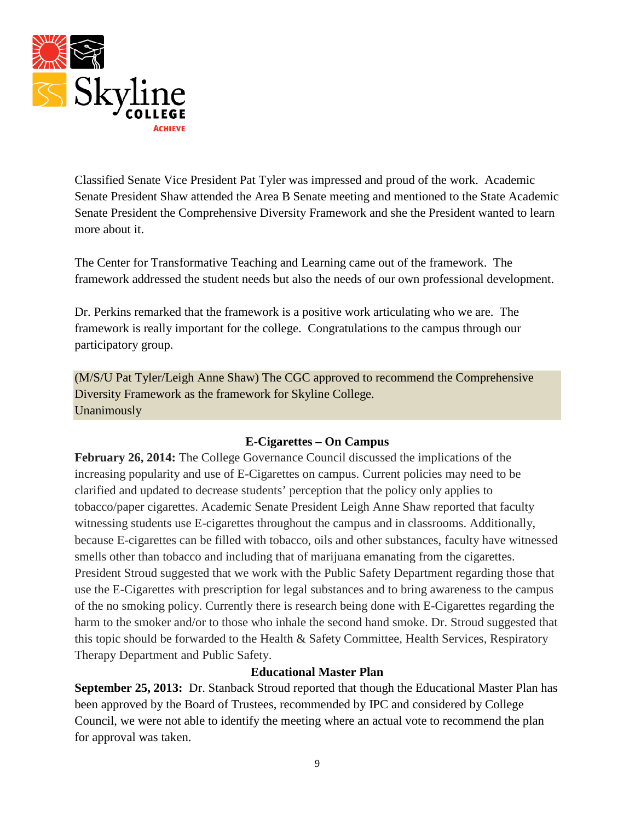

Classified Senate Vice President Pat Tyler was impressed and proud of the work. Academic Senate President Shaw attended the Area B Senate meeting and mentioned to the State Academic Senate President the Comprehensive Diversity Framework and she the President wanted to learn more about it.

The Center for Transformative Teaching and Learning came out of the framework. The framework addressed the student needs but also the needs of our own professional development.

Dr. Perkins remarked that the framework is a positive work articulating who we are. The framework is really important for the college. Congratulations to the campus through our participatory group.

(M/S/U Pat Tyler/Leigh Anne Shaw) The CGC approved to recommend the Comprehensive Diversity Framework as the framework for Skyline College. Unanimously

# **E-Cigarettes – On Campus**

**February 26, 2014:** The College Governance Council discussed the implications of the increasing popularity and use of E-Cigarettes on campus. Current policies may need to be clarified and updated to decrease students' perception that the policy only applies to tobacco/paper cigarettes. Academic Senate President Leigh Anne Shaw reported that faculty witnessing students use E-cigarettes throughout the campus and in classrooms. Additionally, because E-cigarettes can be filled with tobacco, oils and other substances, faculty have witnessed smells other than tobacco and including that of marijuana emanating from the cigarettes. President Stroud suggested that we work with the Public Safety Department regarding those that use the E-Cigarettes with prescription for legal substances and to bring awareness to the campus of the no smoking policy. Currently there is research being done with E-Cigarettes regarding the harm to the smoker and/or to those who inhale the second hand smoke. Dr. Stroud suggested that this topic should be forwarded to the Health & Safety Committee, Health Services, Respiratory Therapy Department and Public Safety.

# **Educational Master Plan**

**September 25, 2013:** Dr. Stanback Stroud reported that though the Educational Master Plan has been approved by the Board of Trustees, recommended by IPC and considered by College Council, we were not able to identify the meeting where an actual vote to recommend the plan for approval was taken.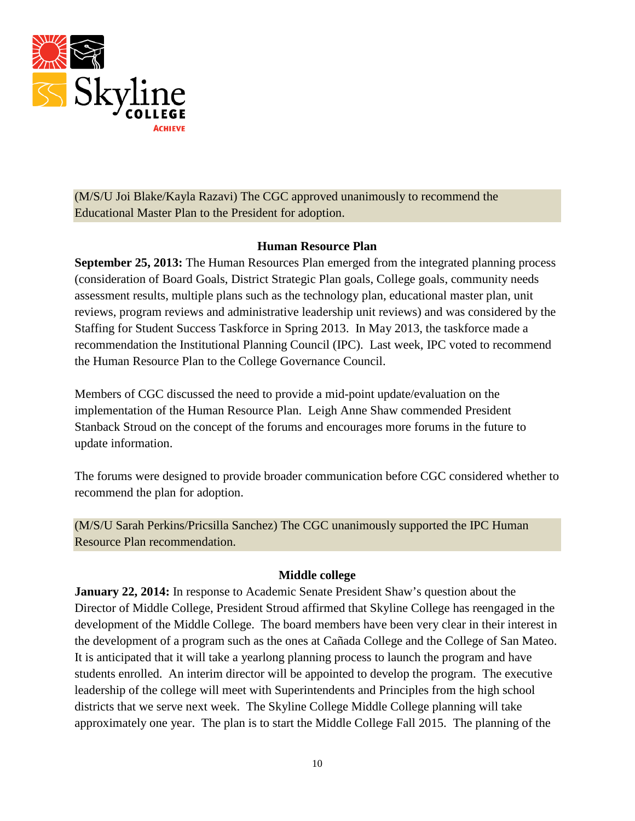

(M/S/U Joi Blake/Kayla Razavi) The CGC approved unanimously to recommend the Educational Master Plan to the President for adoption.

#### **Human Resource Plan**

**September 25, 2013:** The Human Resources Plan emerged from the integrated planning process (consideration of Board Goals, District Strategic Plan goals, College goals, community needs assessment results, multiple plans such as the technology plan, educational master plan, unit reviews, program reviews and administrative leadership unit reviews) and was considered by the Staffing for Student Success Taskforce in Spring 2013. In May 2013, the taskforce made a recommendation the Institutional Planning Council (IPC). Last week, IPC voted to recommend the Human Resource Plan to the College Governance Council.

Members of CGC discussed the need to provide a mid-point update/evaluation on the implementation of the Human Resource Plan. Leigh Anne Shaw commended President Stanback Stroud on the concept of the forums and encourages more forums in the future to update information.

The forums were designed to provide broader communication before CGC considered whether to recommend the plan for adoption.

(M/S/U Sarah Perkins/Pricsilla Sanchez) The CGC unanimously supported the IPC Human Resource Plan recommendation.

# **Middle college**

**January 22, 2014:** In response to Academic Senate President Shaw's question about the Director of Middle College, President Stroud affirmed that Skyline College has reengaged in the development of the Middle College. The board members have been very clear in their interest in the development of a program such as the ones at Cañada College and the College of San Mateo. It is anticipated that it will take a yearlong planning process to launch the program and have students enrolled. An interim director will be appointed to develop the program. The executive leadership of the college will meet with Superintendents and Principles from the high school districts that we serve next week. The Skyline College Middle College planning will take approximately one year. The plan is to start the Middle College Fall 2015. The planning of the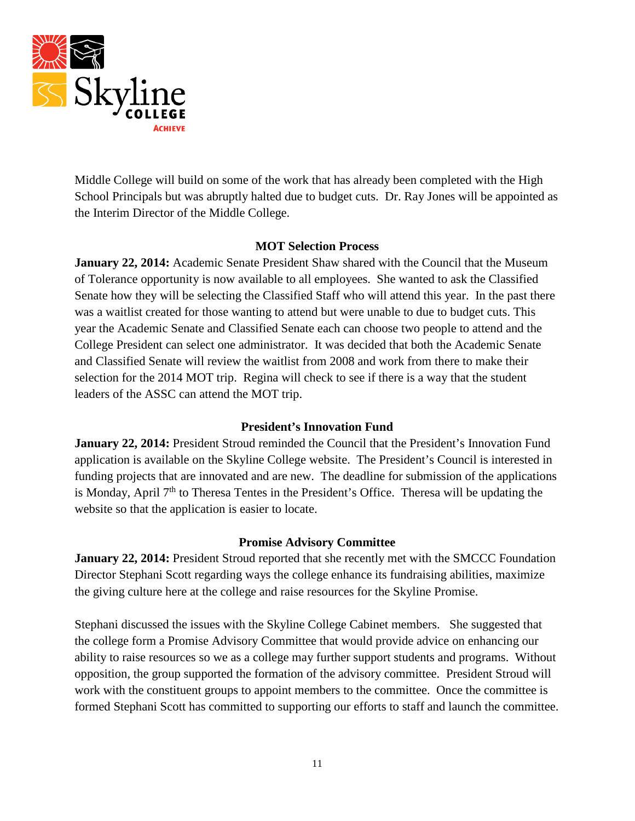

Middle College will build on some of the work that has already been completed with the High School Principals but was abruptly halted due to budget cuts. Dr. Ray Jones will be appointed as the Interim Director of the Middle College.

#### **MOT Selection Process**

**January 22, 2014:** Academic Senate President Shaw shared with the Council that the Museum of Tolerance opportunity is now available to all employees. She wanted to ask the Classified Senate how they will be selecting the Classified Staff who will attend this year. In the past there was a waitlist created for those wanting to attend but were unable to due to budget cuts. This year the Academic Senate and Classified Senate each can choose two people to attend and the College President can select one administrator. It was decided that both the Academic Senate and Classified Senate will review the waitlist from 2008 and work from there to make their selection for the 2014 MOT trip. Regina will check to see if there is a way that the student leaders of the ASSC can attend the MOT trip.

#### **President's Innovation Fund**

January 22, 2014: President Stroud reminded the Council that the President's Innovation Fund application is available on the Skyline College website. The President's Council is interested in funding projects that are innovated and are new. The deadline for submission of the applications is Monday, April 7<sup>th</sup> to Theresa Tentes in the President's Office. Theresa will be updating the website so that the application is easier to locate.

#### **Promise Advisory Committee**

**January 22, 2014:** President Stroud reported that she recently met with the SMCCC Foundation Director Stephani Scott regarding ways the college enhance its fundraising abilities, maximize the giving culture here at the college and raise resources for the Skyline Promise.

Stephani discussed the issues with the Skyline College Cabinet members. She suggested that the college form a Promise Advisory Committee that would provide advice on enhancing our ability to raise resources so we as a college may further support students and programs. Without opposition, the group supported the formation of the advisory committee. President Stroud will work with the constituent groups to appoint members to the committee. Once the committee is formed Stephani Scott has committed to supporting our efforts to staff and launch the committee.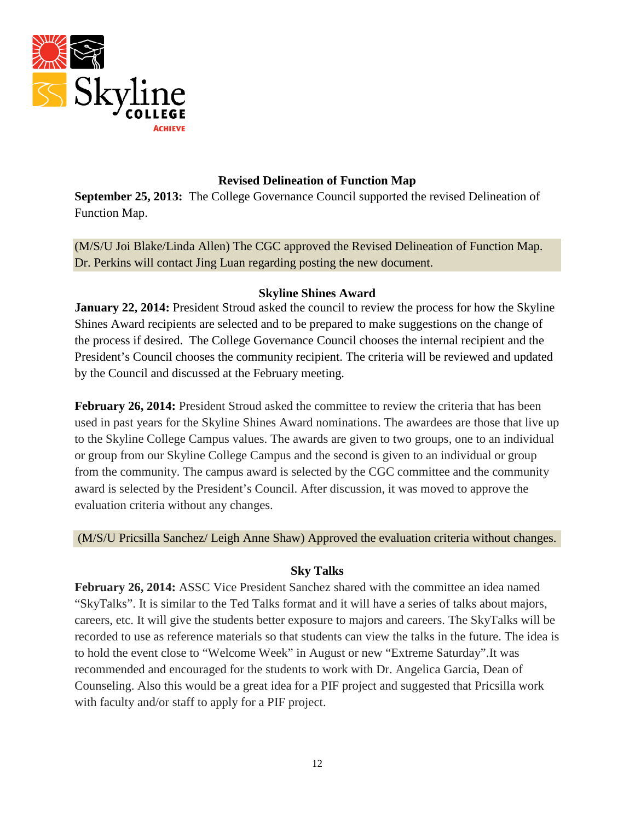

# **Revised Delineation of Function Map**

**September 25, 2013:** The College Governance Council supported the revised Delineation of Function Map.

(M/S/U Joi Blake/Linda Allen) The CGC approved the Revised Delineation of Function Map. Dr. Perkins will contact Jing Luan regarding posting the new document.

### **Skyline Shines Award**

**January 22, 2014:** President Stroud asked the council to review the process for how the Skyline Shines Award recipients are selected and to be prepared to make suggestions on the change of the process if desired. The College Governance Council chooses the internal recipient and the President's Council chooses the community recipient. The criteria will be reviewed and updated by the Council and discussed at the February meeting.

**February 26, 2014:** President Stroud asked the committee to review the criteria that has been used in past years for the Skyline Shines Award nominations. The awardees are those that live up to the Skyline College Campus values. The awards are given to two groups, one to an individual or group from our Skyline College Campus and the second is given to an individual or group from the community. The campus award is selected by the CGC committee and the community award is selected by the President's Council. After discussion, it was moved to approve the evaluation criteria without any changes.

(M/S/U Pricsilla Sanchez/ Leigh Anne Shaw) Approved the evaluation criteria without changes.

# **Sky Talks**

February 26, 2014: ASSC Vice President Sanchez shared with the committee an idea named "SkyTalks". It is similar to the Ted Talks format and it will have a series of talks about majors, careers, etc. It will give the students better exposure to majors and careers. The SkyTalks will be recorded to use as reference materials so that students can view the talks in the future. The idea is to hold the event close to "Welcome Week" in August or new "Extreme Saturday".It was recommended and encouraged for the students to work with Dr. Angelica Garcia, Dean of Counseling. Also this would be a great idea for a PIF project and suggested that Pricsilla work with faculty and/or staff to apply for a PIF project.